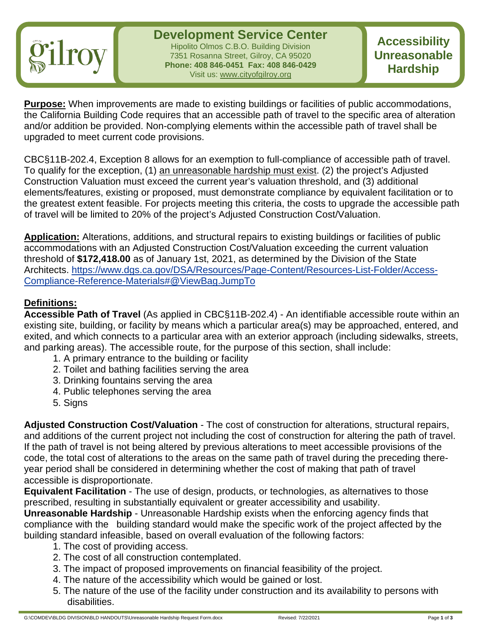

**Development Service Center** Hipolito Olmos C.B.O. Building Division 7351 Rosanna Street, Gilroy, CA 95020 **Phone: 408 846-0451 Fax: 408 846-0429** Visit us: www.cityofgilroy.org

**Accessibility Unreasonable Hardship**

**Purpose:** When improvements are made to existing buildings or facilities of public accommodations, the California Building Code requires that an accessible path of travel to the specific area of alteration and/or addition be provided. Non-complying elements within the accessible path of travel shall be upgraded to meet current code provisions.

CBC§11B-202.4, Exception 8 allows for an exemption to full-compliance of accessible path of travel. To qualify for the exception, (1) an unreasonable hardship must exist. (2) the project's Adjusted Construction Valuation must exceed the current year's valuation threshold, and (3) additional elements/features, existing or proposed, must demonstrate compliance by equivalent facilitation or to the greatest extent feasible. For projects meeting this criteria, the costs to upgrade the accessible path of travel will be limited to 20% of the project's Adjusted Construction Cost/Valuation.

**Application:** Alterations, additions, and structural repairs to existing buildings or facilities of public accommodations with an Adjusted Construction Cost/Valuation exceeding the current valuation threshold of **\$172,418.00** as of January 1st, 2021, as determined by the Division of the State Architects. [https://www.dgs.ca.gov/DSA/Resources/Page-Content/Resources-List-Folder/Access-](https://www.dgs.ca.gov/DSA/Resources/Page-Content/Resources-List-Folder/Access-Compliance-Reference-Materials)[Compliance-Reference-Materials#@ViewBag.JumpTo](https://www.dgs.ca.gov/DSA/Resources/Page-Content/Resources-List-Folder/Access-Compliance-Reference-Materials)

### **Definitions:**

**Accessible Path of Travel** (As applied in CBC§11B-202.4) - An identifiable accessible route within an existing site, building, or facility by means which a particular area(s) may be approached, entered, and exited, and which connects to a particular area with an exterior approach (including sidewalks, streets, and parking areas). The accessible route, for the purpose of this section, shall include:

- 1. A primary entrance to the building or facility
- 2. Toilet and bathing facilities serving the area
- 3. Drinking fountains serving the area
- 4. Public telephones serving the area
- 5. Signs

**Adjusted Construction Cost/Valuation** - The cost of construction for alterations, structural repairs, and additions of the current project not including the cost of construction for altering the path of travel. If the path of travel is not being altered by previous alterations to meet accessible provisions of the code, the total cost of alterations to the areas on the same path of travel during the preceding thereyear period shall be considered in determining whether the cost of making that path of travel accessible is disproportionate.

**Equivalent Facilitation** - The use of design, products, or technologies, as alternatives to those prescribed, resulting in substantially equivalent or greater accessibility and usability.

**Unreasonable Hardship** - Unreasonable Hardship exists when the enforcing agency finds that compliance with the building standard would make the specific work of the project affected by the building standard infeasible, based on overall evaluation of the following factors:

- 1. The cost of providing access.
- 2. The cost of all construction contemplated.
- 3. The impact of proposed improvements on financial feasibility of the project.
- 4. The nature of the accessibility which would be gained or lost.
- 5. The nature of the use of the facility under construction and its availability to persons with disabilities.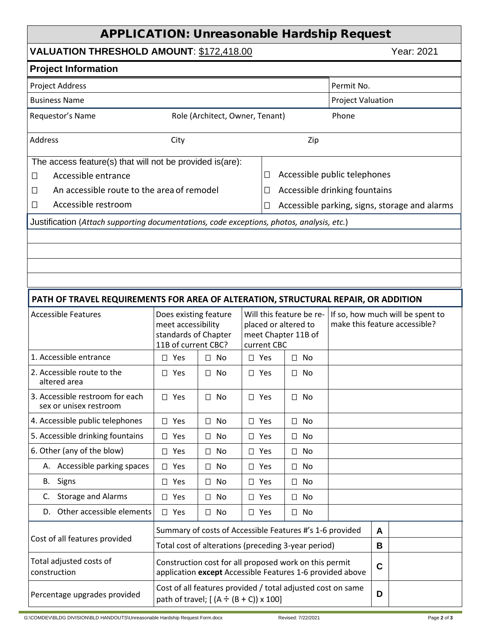# APPLICATION: Unreasonable Hardship Request

## **VALUATION THRESHOLD AMOUNT: \$172,418.00** Year: 2021

| <b>Project Information</b>                                                                |                                                                                                                     |              |                                                                                        |                                                         |                                    |                                                                   |   |             |  |
|-------------------------------------------------------------------------------------------|---------------------------------------------------------------------------------------------------------------------|--------------|----------------------------------------------------------------------------------------|---------------------------------------------------------|------------------------------------|-------------------------------------------------------------------|---|-------------|--|
| <b>Project Address</b><br>Permit No.                                                      |                                                                                                                     |              |                                                                                        |                                                         |                                    |                                                                   |   |             |  |
| <b>Business Name</b><br><b>Project Valuation</b>                                          |                                                                                                                     |              |                                                                                        |                                                         |                                    |                                                                   |   |             |  |
| Phone<br>Requestor's Name<br>Role (Architect, Owner, Tenant)                              |                                                                                                                     |              |                                                                                        |                                                         |                                    |                                                                   |   |             |  |
| <b>Address</b><br>City                                                                    |                                                                                                                     |              |                                                                                        | Zip                                                     |                                    |                                                                   |   |             |  |
| The access feature(s) that will not be provided is(are):                                  |                                                                                                                     |              |                                                                                        |                                                         |                                    |                                                                   |   |             |  |
| Accessible entrance<br>□                                                                  |                                                                                                                     |              |                                                                                        | Accessible public telephones<br>$\Box$                  |                                    |                                                                   |   |             |  |
| An accessible route to the area of remodel<br>□                                           |                                                                                                                     |              |                                                                                        |                                                         | Accessible drinking fountains<br>П |                                                                   |   |             |  |
| Accessible restroom<br>□                                                                  |                                                                                                                     |              |                                                                                        | Accessible parking, signs, storage and alarms<br>$\Box$ |                                    |                                                                   |   |             |  |
| Justification (Attach supporting documentations, code exceptions, photos, analysis, etc.) |                                                                                                                     |              |                                                                                        |                                                         |                                    |                                                                   |   |             |  |
|                                                                                           |                                                                                                                     |              |                                                                                        |                                                         |                                    |                                                                   |   |             |  |
|                                                                                           |                                                                                                                     |              |                                                                                        |                                                         |                                    |                                                                   |   |             |  |
|                                                                                           |                                                                                                                     |              |                                                                                        |                                                         |                                    |                                                                   |   |             |  |
|                                                                                           |                                                                                                                     |              |                                                                                        |                                                         |                                    |                                                                   |   |             |  |
| PATH OF TRAVEL REQUIREMENTS FOR AREA OF ALTERATION, STRUCTURAL REPAIR, OR ADDITION        |                                                                                                                     |              |                                                                                        |                                                         |                                    |                                                                   |   |             |  |
| <b>Accessible Features</b>                                                                | Does existing feature<br>meet accessibility<br>standards of Chapter<br>11B of current CBC?                          |              | Will this feature be re-<br>placed or altered to<br>meet Chapter 11B of<br>current CBC |                                                         |                                    | If so, how much will be spent to<br>make this feature accessible? |   |             |  |
| 1. Accessible entrance                                                                    | $\square$ Yes                                                                                                       | $\square$ No | $\square$ Yes                                                                          |                                                         |                                    | $\square$ No                                                      |   |             |  |
| 2. Accessible route to the<br>altered area                                                | $\Box$ Yes                                                                                                          | $\Box$<br>No | $\Box$ Yes                                                                             |                                                         |                                    | $\Box$ No                                                         |   |             |  |
| 3. Accessible restroom for each<br>sex or unisex restroom                                 | $\Box$ Yes                                                                                                          | No<br>$\Box$ | $\square$ Yes                                                                          |                                                         |                                    | $\Box$ No                                                         |   |             |  |
| 4. Accessible public telephones                                                           | $\square$ Yes                                                                                                       | $\Box$ No    | $\Box$ Yes                                                                             |                                                         |                                    | $\Box$ No                                                         |   |             |  |
| 5. Accessible drinking fountains                                                          | $\square$ Yes                                                                                                       | $\square$ No | $\square$ Yes                                                                          |                                                         |                                    | $\square$ No                                                      |   |             |  |
| 6. Other (any of the blow)                                                                | $\Box$ Yes                                                                                                          | No<br>$\Box$ | $\square$ Yes                                                                          |                                                         |                                    | $\Box$ No                                                         |   |             |  |
| A. Accessible parking spaces                                                              | $\square$ Yes                                                                                                       | $\square$ No | $\square$ Yes                                                                          |                                                         |                                    | $\square$ No                                                      |   |             |  |
| B. Signs                                                                                  | $\Box$ Yes                                                                                                          | $\Box$ No    | $\square$ Yes                                                                          |                                                         |                                    | $\square$ No                                                      |   |             |  |
| <b>Storage and Alarms</b><br>C.                                                           | $\square$ Yes                                                                                                       | $\Box$<br>No | $\square$ Yes                                                                          |                                                         | $\Box$                             | No                                                                |   |             |  |
| D. Other accessible elements                                                              | $\Box$ Yes                                                                                                          | $\Box$ No    | $\Box$ Yes                                                                             |                                                         |                                    | $\Box$ No                                                         |   |             |  |
| Cost of all features provided                                                             | Summary of costs of Accessible Features #'s 1-6 provided                                                            |              |                                                                                        |                                                         |                                    |                                                                   |   | A           |  |
|                                                                                           | Total cost of alterations (preceding 3-year period)                                                                 |              |                                                                                        |                                                         |                                    |                                                                   | B |             |  |
| Total adjusted costs of<br>construction                                                   | Construction cost for all proposed work on this permit<br>application except Accessible Features 1-6 provided above |              |                                                                                        |                                                         |                                    |                                                                   |   | $\mathbf C$ |  |
| Percentage upgrades provided                                                              | Cost of all features provided / total adjusted cost on same<br>path of travel; $[(A \div (B + C)) \times 100]$      |              |                                                                                        |                                                         |                                    | D                                                                 |   |             |  |